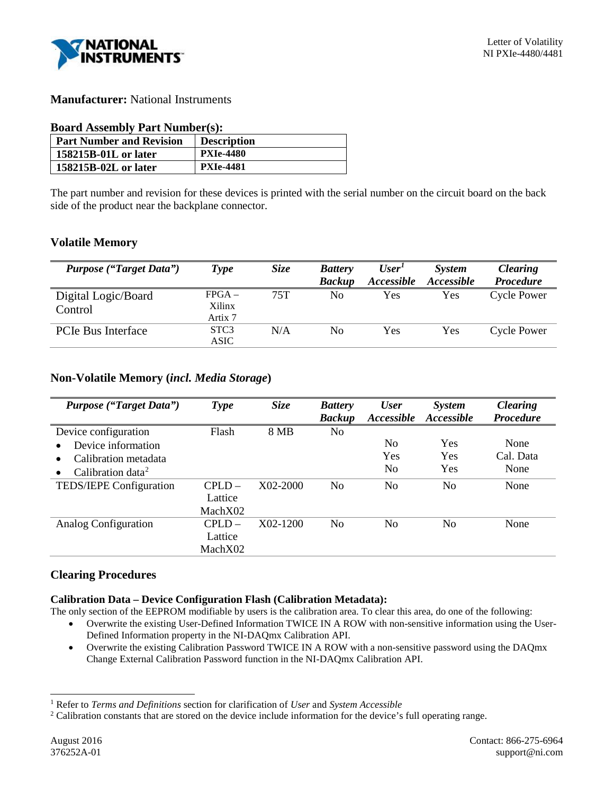

# **Manufacturer:** National Instruments

# **Board Assembly Part Number(s):**

| <b>Part Number and Revision</b> | <b>Description</b> |
|---------------------------------|--------------------|
| 158215B-01L or later            | <b>PXIe-4480</b>   |
| 158215B-02L or later            | <b>PXIe-4481</b>   |

The part number and revision for these devices is printed with the serial number on the circuit board on the back side of the product near the backplane connector.

# **Volatile Memory**

| <b>Purpose ("Target Data")</b> | Type                     | <b>Size</b> | <b>Battery</b><br><b>Backup</b> | User <sup>T</sup><br><i>Accessible</i> | <b>System</b><br><i>Accessible</i> | <b>Clearing</b><br><b>Procedure</b> |
|--------------------------------|--------------------------|-------------|---------------------------------|----------------------------------------|------------------------------------|-------------------------------------|
| Digital Logic/Board<br>Control | $FPGA -$<br>Xilinx       | 75T         | No                              | Yes                                    | Yes                                | Cycle Power                         |
|                                | Artix 7                  |             |                                 |                                        |                                    |                                     |
| <b>PCIe Bus Interface</b>      | STC <sub>3</sub><br>ASIC | N/A         | No                              | Yes                                    | Yes                                | Cycle Power                         |

# **Non-Volatile Memory (***incl. Media Storage***)**

| <b>Purpose ("Target Data")</b>             | Type      | <b>Size</b> | <b>Battery</b> | <b>User</b>       | <i>System</i>  | <b>Clearing</b>  |
|--------------------------------------------|-----------|-------------|----------------|-------------------|----------------|------------------|
|                                            |           |             | <b>Backup</b>  | <i>Accessible</i> | Accessible     | <b>Procedure</b> |
| Device configuration                       | Flash     | 8 MB        | No             |                   |                |                  |
| Device information                         |           |             |                | N <sub>0</sub>    | Yes            | None             |
| Calibration metadata                       |           |             |                | Yes               | Yes            | Cal. Data        |
| Calibration data <sup>2</sup><br>$\bullet$ |           |             |                | N <sub>0</sub>    | Yes            | None             |
| TEDS/IEPE Configuration                    | CPI.D     | X02-2000    | N <sub>0</sub> | N <sub>0</sub>    | N <sub>0</sub> | None             |
|                                            | Lattice   |             |                |                   |                |                  |
|                                            | MachX02   |             |                |                   |                |                  |
| Analog Configuration                       | $CPI.D =$ | X02-1200    | No             | No                | No             | None             |
|                                            | Lattice   |             |                |                   |                |                  |
|                                            | MachX02   |             |                |                   |                |                  |

# **Clearing Procedures**

# **Calibration Data – Device Configuration Flash (Calibration Metadata):**

The only section of the EEPROM modifiable by users is the calibration area. To clear this area, do one of the following:

- Overwrite the existing User-Defined Information TWICE IN A ROW with non-sensitive information using the User-Defined Information property in the NI-DAQmx Calibration API.
- Overwrite the existing Calibration Password TWICE IN A ROW with a non-sensitive password using the DAQmx Change External Calibration Password function in the NI-DAQmx Calibration API.

<span id="page-0-0"></span> <sup>1</sup> Refer to *Terms and Definitions* section for clarification of *User* and *System Accessible*

<span id="page-0-1"></span><sup>&</sup>lt;sup>2</sup> Calibration constants that are stored on the device include information for the device's full operating range.